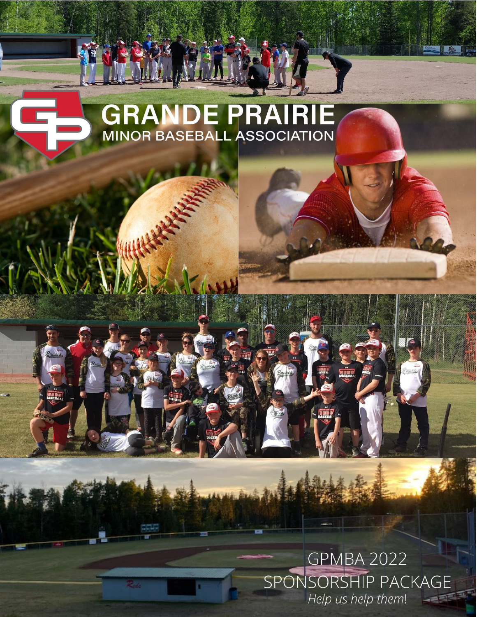# **GRANDE PRAIRIE**<br>MINOR BASEBALL ASSOCIATION

## **GPMBA 2022** SPONSORSHIP PACKAGE Help us help them!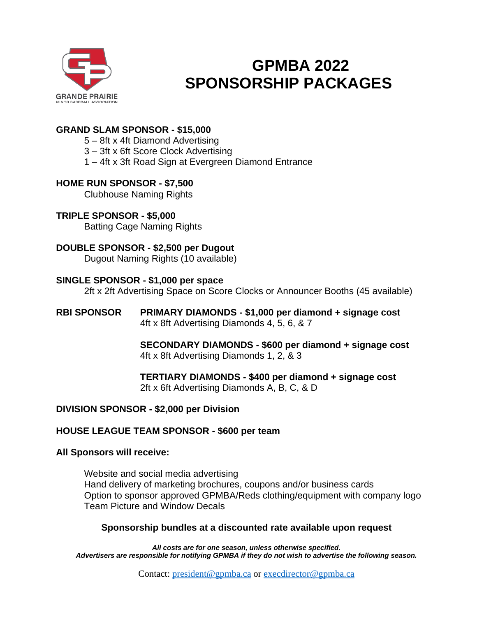

## **GPMBA 2022 SPONSORSHIP PACKAGES**

#### **GRAND SLAM SPONSOR - \$15,000**

5 – 8ft x 4ft Diamond Advertising

3 – 3ft x 6ft Score Clock Advertising

1 – 4ft x 3ft Road Sign at Evergreen Diamond Entrance

#### **HOME RUN SPONSOR - \$7,500**

Clubhouse Naming Rights

**TRIPLE SPONSOR - \$5,000** Batting Cage Naming Rights

### **DOUBLE SPONSOR - \$2,500 per Dugout**

Dugout Naming Rights (10 available)

#### **SINGLE SPONSOR - \$1,000 per space**

2ft x 2ft Advertising Space on Score Clocks or Announcer Booths (45 available)

**RBI SPONSOR PRIMARY DIAMONDS - \$1,000 per diamond + signage cost** 4ft x 8ft Advertising Diamonds 4, 5, 6, & 7

> **SECONDARY DIAMONDS - \$600 per diamond + signage cost** 4ft x 8ft Advertising Diamonds 1, 2, & 3

**TERTIARY DIAMONDS - \$400 per diamond + signage cost** 2ft x 6ft Advertising Diamonds A, B, C, & D

#### **DIVISION SPONSOR - \$2,000 per Division**

#### **HOUSE LEAGUE TEAM SPONSOR - \$600 per team**

#### **All Sponsors will receive:**

Website and social media advertising Hand delivery of marketing brochures, coupons and/or business cards Option to sponsor approved GPMBA/Reds clothing/equipment with company logo Team Picture and Window Decals

#### **Sponsorship bundles at a discounted rate available upon request**

*All costs are for one season, unless otherwise specified. Advertisers are responsible for notifying GPMBA if they do not wish to advertise the following season.*

Contact: [president@gpmba.ca](mailto:president@gpmba.ca) or [execdirector@gpmba.ca](mailto:ExecDirector@GPMBA.ca)